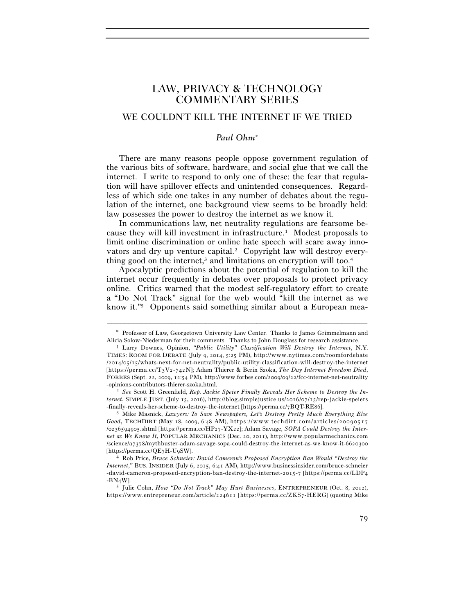## LAW, PRIVACY & TECHNOLOGY COMMENTARY SERIES

## WE COULDN'T KILL THE INTERNET IF WE TRIED

## *Paul Ohm*<sup>∗</sup>

There are many reasons people oppose government regulation of the various bits of software, hardware, and social glue that we call the internet. I write to respond to only one of these: the fear that regulation will have spillover effects and unintended consequences. Regardless of which side one takes in any number of debates about the regulation of the internet, one background view seems to be broadly held: law possesses the power to destroy the internet as we know it.

In communications law, net neutrality regulations are fearsome because they will kill investment in infrastructure.1 Modest proposals to limit online discrimination or online hate speech will scare away innovators and dry up venture capital.<sup>2</sup> Copyright law will destroy everything good on the internet,<sup>3</sup> and limitations on encryption will too.<sup>4</sup>

Apocalyptic predictions about the potential of regulation to kill the internet occur frequently in debates over proposals to protect privacy online. Critics warned that the modest self-regulatory effort to create a "Do Not Track" signal for the web would "kill the internet as we know it."5 Opponents said something similar about a European mea-

<sup>–––––––––––––––––––––––––––––––––––––––––––––––––––––––––––––</sup> ∗ Professor of Law, Georgetown University Law Center. Thanks to James Grimmelmann and Alicia Solow-Niederman for their comments. Thanks to John Douglass for research assistance. 1 Larry Downes, Opinion, *"Public Utility" Classification Will Destroy the Internet*, N.Y.

TIMES: ROOM FOR DEBATE (July 9, 2014, 5:25 PM), http://www.nytimes.com/roomfordebate /2014/05/15/whats-next-for-net-neutrality/public-utility-classification-will-destroy-the-internet [https://perma.cc/T3V2-742N]; Adam Thierer & Berin Szoka, *The Day Internet Freedom Died*, FORBES (Sept. 22, 2009, 12:54 PM), http://www.forbes.com/2009/09/22/fcc-internet-neutrality -opinions-contributors-thierer-szoka.html. 2 *See* Scott H. Greenfield, *Rep. Jackie Speier Finally Reveals Her Scheme to Destroy the In-*

*ternet*, SIMPLE JUST. (July 15, 2016), http://blog.simplejustice.us/2016/07/15/rep-jackie-speiers

<sup>-</sup>finally-reveals-her-scheme-to-destroy-the-internet [https://perma.cc/7BQT-RE86]. 3 Mike Masnick, *Lawyers: To Save Newspapers, Let's Destroy Pretty Much Everything Else Good*, TECHDIRT (May 18, 2009, 6:48 AM), https://www.techdirt.com/articles/20090517 /0236594905.shtml [https://perma.cc/HP27-YX22]; Adam Savage, *SOPA Could Destroy the Internet as We Know It*, POPULAR MECHANICS (Dec. 20, 2011), http://www.popularmechanics.com /science/a7378/mythbuster-adam-savage-sopa-could-destroy-the-internet-as-we-know-it-6620300 [https://perma.cc/QE7H-U9SW]. 4 Rob Price, *Bruce Schneier: David Cameron's Proposed Encryption Ban Would "Destroy the* 

*Internet*," BUS. INSIDER (July 6, 2015, 6:41 AM), http://www.businessinsider.com/bruce-schneier -david-cameron-proposed-encryption-ban-destroy-the-internet-2015-7 [https://perma.cc/LDP4 -BN4W].

<sup>5</sup> Julie Cohn, *How "Do Not Track" May Hurt Businesses*, ENTREPRENEUR (Oct. 8, 2012), https://www.entrepreneur.com/article/224611 [https://perma.cc/ZKS7-HERG] (quoting Mike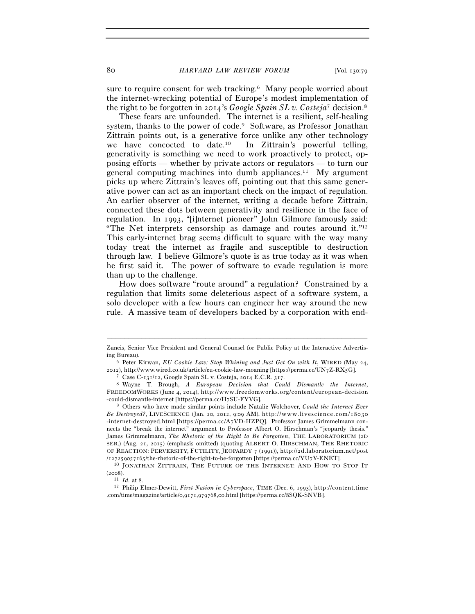80 *HARVARD LAW REVIEW FORUM* [Vol. 130:79

sure to require consent for web tracking.<sup>6</sup> Many people worried about the internet-wrecking potential of Europe's modest implementation of the right to be forgotten in 2014's *Google Spain SL v. Costeja*7 decision.8

These fears are unfounded. The internet is a resilient, self-healing system, thanks to the power of code.<sup>9</sup> Software, as Professor Jonathan Zittrain points out, is a generative force unlike any other technology we have concocted to date.10 In Zittrain's powerful telling, generativity is something we need to work proactively to protect, opposing efforts — whether by private actors or regulators — to turn our general computing machines into dumb appliances.11 My argument picks up where Zittrain's leaves off, pointing out that this same generative power can act as an important check on the impact of regulation. An earlier observer of the internet, writing a decade before Zittrain, connected these dots between generativity and resilience in the face of regulation. In 1993, "[i]nternet pioneer" John Gilmore famously said: "The Net interprets censorship as damage and routes around it."12 This early-internet brag seems difficult to square with the way many today treat the internet as fragile and susceptible to destruction through law. I believe Gilmore's quote is as true today as it was when he first said it. The power of software to evade regulation is more than up to the challenge.

How does software "route around" a regulation? Constrained by a regulation that limits some deleterious aspect of a software system, a solo developer with a few hours can engineer her way around the new rule. A massive team of developers backed by a corporation with end-

<sup>–––––––––––––––––––––––––––––––––––––––––––––––––––––––––––––</sup> Zaneis, Senior Vice President and General Counsel for Public Policy at the Interactive Advertising Bureau). 6 Peter Kirwan, *EU Cookie Law: Stop Whining and Just Get On with It*, WIRED (May 24,

<sup>2012),</sup> http://www.wired.co.uk/article/eu-cookie-law-moaning [https://perma.cc/UN7Z-RX5G].<br>
<sup>7</sup> Case C-131/12, Google Spain SL v. Costeja, 2014 E.C.R. 317.<br>
<sup>8</sup> Wayne T. Brough, *A European Decision that Could Dismantle th* 

FREEDOMWORKS (June 4, 2014), http://www.freedomworks.org/content/european-decision -could-dismantle-internet [https://perma.cc/H7SU-FYVG]. 9 Others who have made similar points include Natalie Wolchover, *Could the Internet Ever* 

*Be Destroyed?*, LIVESCIENCE (Jan. 20, 2012, 9:09 AM), http://www.livescience.com/18030 -internet-destroyed.html [https://perma.cc/A7VD-HZPQ]. Professor James Grimmelmann connects the "break the internet" argument to Professor Albert O. Hirschman's "jeopardy thesis." James Grimmelmann, *The Rhetoric of the Right to Be Forgotten*, THE LABORATORIUM (2D SER.) (Aug. 21, 2015) (emphasis omitted) (quoting ALBERT O. HIRSCHMAN, THE RHETORIC OF REACTION: PERVERSITY, FUTILITY, JEOPARDY  $7$  (1991)), http://2d.laboratorium.net/post

<sup>/127259057165/</sup>the-rhetoric-of-the-right-to-be-forgotten [https://perma.cc/YU7Y-ENET].<br><sup>10</sup> JONATHAN ZITTRAIN, THE FUTURE OF THE INTERNET: AND HOW TO STOP IT (2008).<br><sup>11</sup> *Id.* at 8.<br><sup>12</sup> Philip Elmer-Dewitt, *First Nation in Cyberspace*, TIME (Dec. 6, 1993), http://content.time

<sup>.</sup>com/time/magazine/article/0,9171,979768,00.html [https://perma.cc/8SQK-SNVB].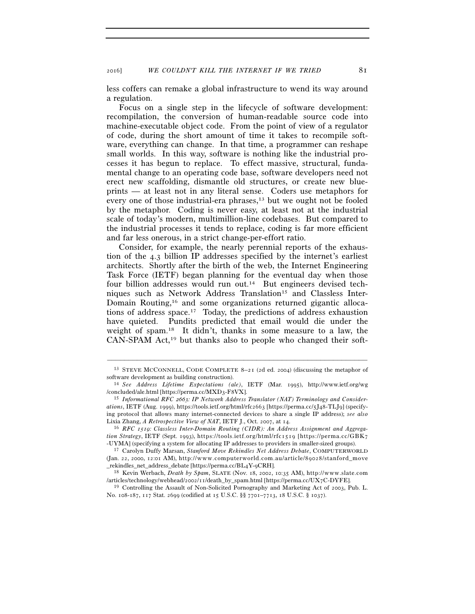2016] *WE COULDN'T KILL THE INTERNET IF WE TRIED* 81

less coffers can remake a global infrastructure to wend its way around a regulation.

Focus on a single step in the lifecycle of software development: recompilation, the conversion of human-readable source code into machine-executable object code. From the point of view of a regulator of code, during the short amount of time it takes to recompile software, everything can change. In that time, a programmer can reshape small worlds. In this way, software is nothing like the industrial processes it has begun to replace. To effect massive, structural, fundamental change to an operating code base, software developers need not erect new scaffolding, dismantle old structures, or create new blueprints — at least not in any literal sense. Coders use metaphors for every one of those industrial-era phrases,<sup>13</sup> but we ought not be fooled by the metaphor. Coding is never easy, at least not at the industrial scale of today's modern, multimillion-line codebases. But compared to the industrial processes it tends to replace, coding is far more efficient and far less onerous, in a strict change-per-effort ratio.

Consider, for example, the nearly perennial reports of the exhaustion of the 4.3 billion IP addresses specified by the internet's earliest architects. Shortly after the birth of the web, the Internet Engineering Task Force (IETF) began planning for the eventual day when those four billion addresses would run out.14 But engineers devised techniques such as Network Address Translation<sup>15</sup> and Classless Inter-Domain Routing,<sup>16</sup> and some organizations returned gigantic allocations of address space.17 Today, the predictions of address exhaustion have quieted. Pundits predicted that email would die under the weight of spam.18 It didn't, thanks in some measure to a law, the  $CAN-SPAM$  Act,<sup>19</sup> but thanks also to people who changed their soft-

<sup>–––––––––––––––––––––––––––––––––––––––––––––––––––––––––––––</sup> <sup>13</sup> STEVE MCCONNELL, CODE COMPLETE 8-21 (2d ed. 2004) (discussing the metaphor of software development as building construction).

software development as building construction). 14 *See Address Lifetime Expectations (ale)*, IETF (Mar. 1995), http://www.ietf.org/wg /concluded/ale.html [https://perma.cc/MXD3-F8VX]. 15 *Informational RFC 2663: IP Network Address Translator (NAT) Terminology and Consider-*

*ations*, IETF (Aug. 1999), https://tools.ietf.org/html/rfc2663 [https://perma.cc/5J48-TLJ9] (specifying protocol that allows many internet-connected devices to share a single IP address); *see also*

<sup>&</sup>lt;sup>16</sup> RFC *1519*: Classless Inter-Domain Routing (CIDR): An Address Assignment and Aggrega*tion Strategy*, IETF (Sept. 1993), https://tools.ietf.org/html/rfc1519 [https://perma.cc/GBK7 -UYMA] (specifying a system for allocating IP addresses to providers in smaller-sized groups). 17 Carolyn Duffy Marsan, *Stanford Move Rekindles Net Address Debate*, COMPUTERWORLD

 $(Jan. 22, 2000, 12:01 AM), http://www.computerworld.com.au/article/89028/stanford_move$ \_rekindles\_net\_address\_debate [https://perma.cc/BL4Y-9CRH]. 18 Kevin Werbach, *Death by Spam*, SLATE (Nov. 18, 2002, 10:35 AM), h t t p : / / w w w . s l a t e . c o m

<sup>/</sup>articles/technology/webhead/2002/11/death\_by\_spam.html [https://perma.cc/UX7C-DYFE].<br><sup>19</sup> Controlling the Assault of Non-Solicited Pornography and Marketing Act of 2003, Pub. L.

No. 108-187, 117 Stat. 2699 (codified at 15 U.S.C. §§ 7701–7713, 18 U.S.C. § 1037).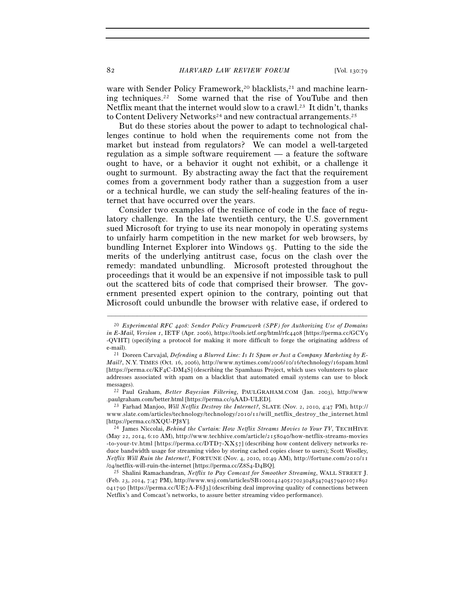82 *HARVARD LAW REVIEW FORUM* [Vol. 130:79

ware with Sender Policy Framework,<sup>20</sup> blacklists,<sup>21</sup> and machine learning techniques.22 Some warned that the rise of YouTube and then Netflix meant that the internet would slow to a crawl.23 It didn't, thanks to Content Delivery Networks<sup>24</sup> and new contractual arrangements.<sup>25</sup>

But do these stories about the power to adapt to technological challenges continue to hold when the requirements come not from the market but instead from regulators? We can model a well-targeted regulation as a simple software requirement — a feature the software ought to have, or a behavior it ought not exhibit, or a challenge it ought to surmount. By abstracting away the fact that the requirement comes from a government body rather than a suggestion from a user or a technical hurdle, we can study the self-healing features of the internet that have occurred over the years.

Consider two examples of the resilience of code in the face of regulatory challenge. In the late twentieth century, the U.S. government sued Microsoft for trying to use its near monopoly in operating systems to unfairly harm competition in the new market for web browsers, by bundling Internet Explorer into Windows 95. Putting to the side the merits of the underlying antitrust case, focus on the clash over the remedy: mandated unbundling. Microsoft protested throughout the proceedings that it would be an expensive if not impossible task to pull out the scattered bits of code that comprised their browser. The government presented expert opinion to the contrary, pointing out that Microsoft could unbundle the browser with relative ease, if ordered to

–––––––––––––––––––––––––––––––––––––––––––––––––––––––––––––

<sup>20</sup> *Experimental RFC 4408: Sender Policy Framework (SPF) for Authorizing Use of Domains in E-Mail, Version 1*, IETF (Apr. 2006), https://tools.ietf.org/html/rfc4408 [https://perma.cc/GCY9 -QVHT] (specifying a protocol for making it more difficult to forge the originating address of

e-mail). 21 Doreen Carvajal, *Defending a Blurred Line: Is It Spam or Just a Company Marketing by E-Mail?*, N.Y. TIMES (Oct. 16, 2006), http://www.nytimes.com/2006/10/16/technology/16spam.html [https://perma.cc/KF4C-DM4S] (describing the Spamhaus Project, which uses volunteers to place addresses associated with spam on a blacklist that automated email systems can use to block

messages). 22 Paul Graham, *Better Bayesian Filtering*, PAULGRAHAM.COM (Jan. 2003), http://www.<br>.paulgraham.com/better.html [https://perma.cc/9AAD-ULED].

<sup>&</sup>lt;sup>23</sup> Farhad Manjoo, *Will Netflix Destroy the Internet?*, SLATE (Nov. 2, 2010, 4:47 PM), http:// www.slate.com/articles/technology/technology/2010/11/will\_netflix\_destroy\_the\_internet.html<br>[https://perma.cc/8XQU-PJ8Y].

<sup>&</sup>lt;sup>24</sup> James Niccolai, *Behind the Curtain: How Netflix Streams Movies to Your TV*, TECHHIVE (May 22, 2014, 6:10 AM), http://www.techhive.com/article/2158040/how-netflix-streams-movies -to-your-tv.html [https://perma.cc/DTD7- $XX57$ ] (describing how content delivery networks reduce bandwidth usage for streaming video by storing cached copies closer to users); Scott Woolley, *Netflix Will Ruin the Internet!*, FORTUNE (Nov. 4, 2010, 10:49 AM), http://fortune.com/2010/11<br>/04/netflix-will-ruin-the-internet [https://perma.cc/Z8S4-D4BQ].

<sup>&</sup>lt;sup>25</sup> Shalini Ramachandran, Netflix to Pay Comcast for Smoother Streaming, WALL STREET J. (Feb. 23, 2014, 7:47 PM), http://www.wsj.com/articles/SB10001424052702304834704579401071892 041790 [https://perma.cc/UE7A-F6J3] (describing deal improving quality of connections between Netflix's and Comcast's networks, to assure better streaming video performance).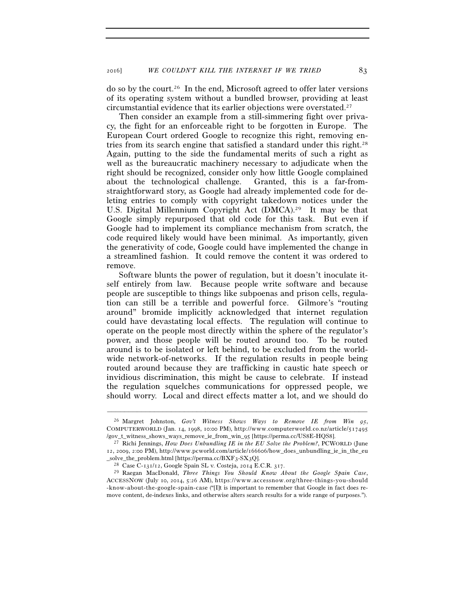do so by the court.26 In the end, Microsoft agreed to offer later versions of its operating system without a bundled browser, providing at least circumstantial evidence that its earlier objections were overstated.27

Then consider an example from a still-simmering fight over privacy, the fight for an enforceable right to be forgotten in Europe. The European Court ordered Google to recognize this right, removing entries from its search engine that satisfied a standard under this right.28 Again, putting to the side the fundamental merits of such a right as well as the bureaucratic machinery necessary to adjudicate when the right should be recognized, consider only how little Google complained about the technological challenge. Granted, this is a far-fromstraightforward story, as Google had already implemented code for deleting entries to comply with copyright takedown notices under the U.S. Digital Millennium Copyright Act (DMCA).29 It may be that Google simply repurposed that old code for this task. But even if Google had to implement its compliance mechanism from scratch, the code required likely would have been minimal. As importantly, given the generativity of code, Google could have implemented the change in a streamlined fashion. It could remove the content it was ordered to remove.

Software blunts the power of regulation, but it doesn't inoculate itself entirely from law. Because people write software and because people are susceptible to things like subpoenas and prison cells, regulation can still be a terrible and powerful force. Gilmore's "routing around" bromide implicitly acknowledged that internet regulation could have devastating local effects. The regulation will continue to operate on the people most directly within the sphere of the regulator's power, and those people will be routed around too. To be routed around is to be isolated or left behind, to be excluded from the worldwide network-of-networks. If the regulation results in people being routed around because they are trafficking in caustic hate speech or invidious discrimination, this might be cause to celebrate. If instead the regulation squelches communications for oppressed people, we should worry. Local and direct effects matter a lot, and we should do

–––––––––––––––––––––––––––––––––––––––––––––––––––––––––––––

<sup>26</sup> Margret Johnston, *Gov't Witness Shows Ways to Remove IE from Win 95*, COMPUTERWORLD (Jan. 14, 1998, 10:00 PM), http://www.computerworld.co.nz/article/517495

<sup>/</sup>gov\_t\_witness\_shows\_ways\_remove\_ie\_from\_win\_95 [https://perma.cc/US8E-HQS8]. 27 Richi Jennings, *How Does Unbundling IE in the EU Solve the Problem?*, PCWORLD (June 12, 2009, 2:00 PM), http://www.pcworld.com/article/166606/how\_does\_unbundling\_ie\_in\_the\_eu

\_solve\_the\_problem.html [https://perma.cc/BXF3-SX3Q]. 28 Case C-131/12, Google Spain SL v. Costeja, 2014 E.C.R. 317. 29 Raegan MacDonald, *Three Things You Should Know About the Google Spain Case*, ACCESSNOW (July 10, 2014, 5:26 AM), https://www.accessnow.org/three-things-you-should -know-about-the-google-spain-case ("[I]t is important to remember that Google in fact does remove content, de-indexes links, and otherwise alters search results for a wide range of purposes.").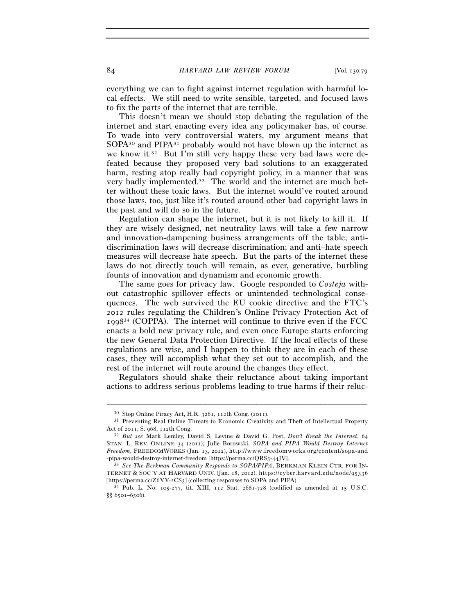everything we can to fight against internet regulation with harmful local effects. We still need to write sensible, targeted, and focused laws to fix the parts of the internet that are terrible.

This doesn't mean we should stop debating the regulation of the internet and start enacting every idea any policymaker has, of course. To wade into very controversial waters, my argument means that SOPA<sup>30</sup> and PIPA<sup>31</sup> probably would not have blown up the internet as we know it.32 But I'm still very happy these very bad laws were defeated because they proposed very bad solutions to an exaggerated harm, resting atop really bad copyright policy, in a manner that was very badly implemented.33 The world and the internet are much better without these toxic laws. But the internet would've routed around those laws, too, just like it's routed around other bad copyright laws in the past and will do so in the future.

Regulation can shape the internet, but it is not likely to kill it. If they are wisely designed, net neutrality laws will take a few narrow and innovation-dampening business arrangements off the table; antidiscrimination laws will decrease discrimination; and anti–hate speech measures will decrease hate speech. But the parts of the internet these laws do not directly touch will remain, as ever, generative, burbling founts of innovation and dynamism and economic growth.

The same goes for privacy law. Google responded to *Costeja* without catastrophic spillover effects or unintended technological consequences. The web survived the EU cookie directive and the FTC's 2012 rules regulating the Children's Online Privacy Protection Act of  $1998<sup>34</sup>$  (COPPA). The internet will continue to thrive even if the FCC enacts a bold new privacy rule, and even once Europe starts enforcing the new General Data Protection Directive. If the local effects of these regulations are wise, and I happen to think they are in each of these cases, they will accomplish what they set out to accomplish, and the rest of the internet will route around the changes they effect.

Regulators should shake their reluctance about taking important actions to address serious problems leading to true harms if their reluc-

–––––––––––––––––––––––––––––––––––––––––––––––––––––––––––––

<sup>30</sup> Stop Online Piracy Act, H.R. 3261, 112th Cong. (2011). 31 Preventing Real Online Threats to Economic Creativity and Theft of Intellectual Property Act of 2011, S. 968, 112th Cong. 32 *But see* Mark Lemley, David S. Levine & David G. Post, *Don't Break the Internet*, <sup>64</sup>

STAN. L. REV. ONLINE 34 (2011); Julie Borowski, *SOPA and PIPA Would Destroy Internet Freedom*, FREEDOMWORKS (Jan. 13, 2012), http://www.freedomworks.org/content/sopa-and -pipa-would-destroy-internet-freedom [https://perma.cc/QRS5-44JV]. 33 *See The Berkman Community Responds to SOPA/PIPA*, BERKMAN KLEIN CTR. FOR IN-

TERNET & SOC'Y AT HARVARD UNIV. (Jan. 18, 2012), https://cyber.harvard.edu/node/95336 [https://perma.cc/Z6YY-2CS3] (collecting responses to SOPA and PIPA). 34 Pub. L. No. 105-277, tit. XIII, 112 Stat. 2681-728 (codified as amended at 15 U.S.C.

<sup>§§</sup> 6501–6506).